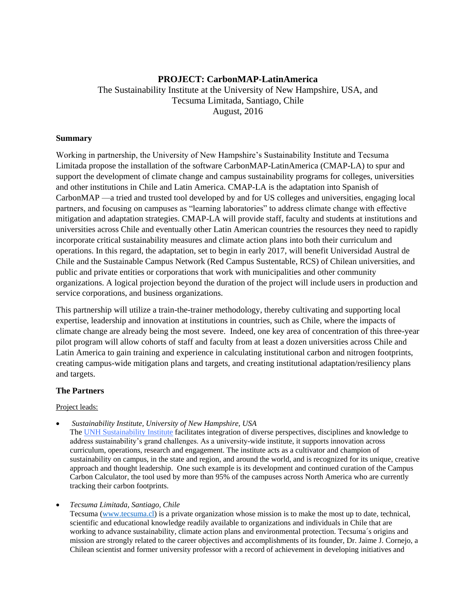# **PROJECT: CarbonMAP-LatinAmerica** The Sustainability Institute at the University of New Hampshire, USA, and Tecsuma Limitada, Santiago, Chile August, 2016

## **Summary**

Working in partnership, the University of New Hampshire's Sustainability Institute and Tecsuma Limitada propose the installation of the software CarbonMAP-LatinAmerica (CMAP-LA) to spur and support the development of climate change and campus sustainability programs for colleges, universities and other institutions in Chile and Latin America. CMAP-LA is the adaptation into Spanish of CarbonMAP —a tried and trusted tool developed by and for US colleges and universities, engaging local partners, and focusing on campuses as "learning laboratories" to address climate change with effective mitigation and adaptation strategies. CMAP-LA will provide staff, faculty and students at institutions and universities across Chile and eventually other Latin American countries the resources they need to rapidly incorporate critical sustainability measures and climate action plans into both their curriculum and operations. In this regard, the adaptation, set to begin in early 2017, will benefit Universidad Austral de Chile and the Sustainable Campus Network (Red Campus Sustentable, RCS) of Chilean universities, and public and private entities or corporations that work with municipalities and other community organizations. A logical projection beyond the duration of the project will include users in production and service corporations, and business organizations.

This partnership will utilize a train-the-trainer methodology, thereby cultivating and supporting local expertise, leadership and innovation at institutions in countries, such as Chile, where the impacts of climate change are already being the most severe. Indeed, one key area of concentration of this three-year pilot program will allow cohorts of staff and faculty from at least a dozen universities across Chile and Latin America to gain training and experience in calculating institutional carbon and nitrogen footprints, creating campus-wide mitigation plans and targets, and creating institutional adaptation/resiliency plans and targets.

### **The Partners**

### Project leads:

*Sustainability Institute, University of New Hampshire, USA*

The [UNH Sustainability Institute](http://www.sustainableunh.unh.edu/) facilitates integration of diverse perspectives, disciplines and knowledge to address sustainability's grand challenges. As a university-wide institute, it supports innovation across curriculum, operations, research and engagement. The institute acts as a cultivator and champion of sustainability on campus, in the state and region, and around the world, and is recognized for its unique, creative approach and thought leadership. One such example is its development and continued curation of the Campus Carbon Calculator, the tool used by more than 95% of the campuses across North America who are currently tracking their carbon footprints.

*Tecsuma Limitada, Santiago, Chile*

Tecsuma [\(www.tecsuma.cl\)](http://www.tecsuma.cl/) is a private organization whose mission is to make the most up to date, technical, scientific and educational knowledge readily available to organizations and individuals in Chile that are working to advance sustainability, climate action plans and environmental protection. Tecsuma´s origins and mission are strongly related to the career objectives and accomplishments of its founder, Dr. Jaime J. Cornejo, a Chilean scientist and former university professor with a record of achievement in developing initiatives and